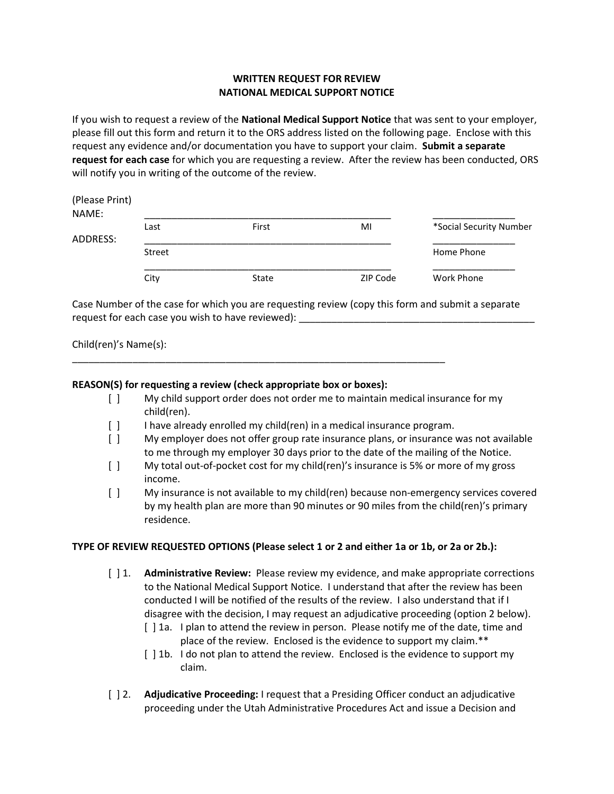## WRITTEN REQUEST FOR REVIEW NATIONAL MEDICAL SUPPORT NOTICE

If you wish to request a review of the National Medical Support Notice that was sent to your employer, please fill out this form and return it to the ORS address listed on the following page. Enclose with this request any evidence and/or documentation you have to support your claim. Submit a separate request for each case for which you are requesting a review. After the review has been conducted, ORS will notify you in writing of the outcome of the review.

| Last   | First | MI       | *Social Security Number |
|--------|-------|----------|-------------------------|
|        |       |          |                         |
| Street |       |          | Home Phone              |
| City   | State | ZIP Code | Work Phone              |
|        |       |          |                         |

Case Number of the case for which you are requesting review (copy this form and submit a separate request for each case you wish to have reviewed):  $\Box$ 

Child(ren)'s Name(s):

## REASON(S) for requesting a review (check appropriate box or boxes):

- [ ] My child support order does not order me to maintain medical insurance for my child(ren).
- [ ] I have already enrolled my child(ren) in a medical insurance program.

\_\_\_\_\_\_\_\_\_\_\_\_\_\_\_\_\_\_\_\_\_\_\_\_\_\_\_\_\_\_\_\_\_\_\_\_\_\_\_\_\_\_\_\_\_\_\_\_\_\_\_\_\_\_\_\_\_\_\_\_\_\_\_\_\_\_\_\_

- [ ] My employer does not offer group rate insurance plans, or insurance was not available to me through my employer 30 days prior to the date of the mailing of the Notice.
- [ ] My total out-of-pocket cost for my child(ren)'s insurance is 5% or more of my gross income.
- [ ] My insurance is not available to my child(ren) because non-emergency services covered by my health plan are more than 90 minutes or 90 miles from the child(ren)'s primary residence.

## TYPE OF REVIEW REQUESTED OPTIONS (Please select 1 or 2 and either 1a or 1b, or 2a or 2b.):

- [ ] 1. **Administrative Review:** Please review my evidence, and make appropriate corrections to the National Medical Support Notice. I understand that after the review has been conducted I will be notified of the results of the review. I also understand that if I disagree with the decision, I may request an adjudicative proceeding (option 2 below).
	- [] 1a. I plan to attend the review in person. Please notify me of the date, time and place of the review. Enclosed is the evidence to support my claim.\*\*
	- [ ] 1b. I do not plan to attend the review. Enclosed is the evidence to support my claim.
- [ ] 2. **Adjudicative Proceeding:** I request that a Presiding Officer conduct an adjudicative proceeding under the Utah Administrative Procedures Act and issue a Decision and